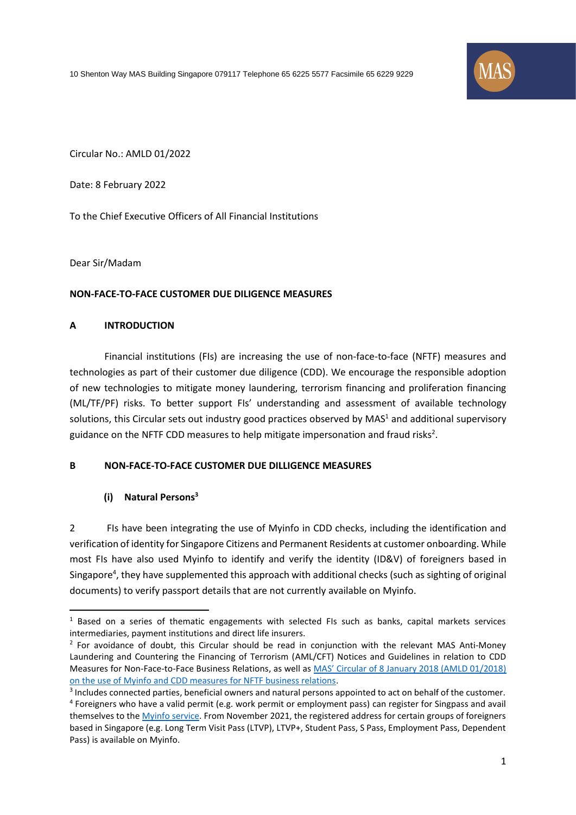10 Shenton Way MAS Building Singapore 079117 Telephone 65 6225 5577 Facsimile 65 6229 9229



Circular No.: AMLD 01/2022

Date: 8 February 2022

To the Chief Executive Officers of All Financial Institutions

Dear Sir/Madam

#### **NON-FACE-TO-FACE CUSTOMER DUE DILIGENCE MEASURES**

#### **A INTRODUCTION**

Financial institutions (FIs) are increasing the use of non-face-to-face (NFTF) measures and technologies as part of their customer due diligence (CDD). We encourage the responsible adoption of new technologies to mitigate money laundering, terrorism financing and proliferation financing (ML/TF/PF) risks. To better support FIs' understanding and assessment of available technology solutions, this Circular sets out industry good practices observed by MAS<sup>1</sup> and additional supervisory guidance on the NFTF CDD measures to help mitigate impersonation and fraud risks<sup>2</sup>.

#### **B NON-FACE-TO-FACE CUSTOMER DUE DILLIGENCE MEASURES**

#### **(i) Natural Persons<sup>3</sup>**

2 FIs have been integrating the use of Myinfo in CDD checks, including the identification and verification of identity for Singapore Citizens and Permanent Residents at customer onboarding. While most FIs have also used Myinfo to identify and verify the identity (ID&V) of foreigners based in Singapore<sup>4</sup>, they have supplemented this approach with additional checks (such as sighting of original documents) to verify passport details that are not currently available on Myinfo.

<sup>&</sup>lt;sup>1</sup> Based on a series of thematic engagements with selected FIs such as banks, capital markets services intermediaries, payment institutions and direct life insurers.

 $2$  For avoidance of doubt, this Circular should be read in conjunction with the relevant MAS Anti-Money Laundering and Countering the Financing of Terrorism (AML/CFT) Notices and Guidelines in relation to CDD Measures for Non-Face-to-Face Business Relations, as well as MAS' [Circular of 8 January 2018 \(AMLD 01/2018\)](https://www.mas.gov.sg/regulation/circulars/circular-on-use-of-Myinfo-and-cdd-measures-for-non-face-to-face-business-relations)  on the use of Myinfo [and CDD measures for NFTF business relations.](https://www.mas.gov.sg/regulation/circulars/circular-on-use-of-Myinfo-and-cdd-measures-for-non-face-to-face-business-relations)

<sup>&</sup>lt;sup>3</sup> Includes connected parties, beneficial owners and natural persons appointed to act on behalf of the customer. <sup>4</sup> Foreigners who have a valid permit (e.g. work permit or employment pass) can register for Singpass and avail themselves to th[e Myinfo](https://www.singpass.gov.sg/singpass/common/supportmain) service. From November 2021, the registered address for certain groups of foreigners based in Singapore (e.g. Long Term Visit Pass (LTVP), LTVP+, Student Pass, S Pass, Employment Pass, Dependent Pass) is available on Myinfo.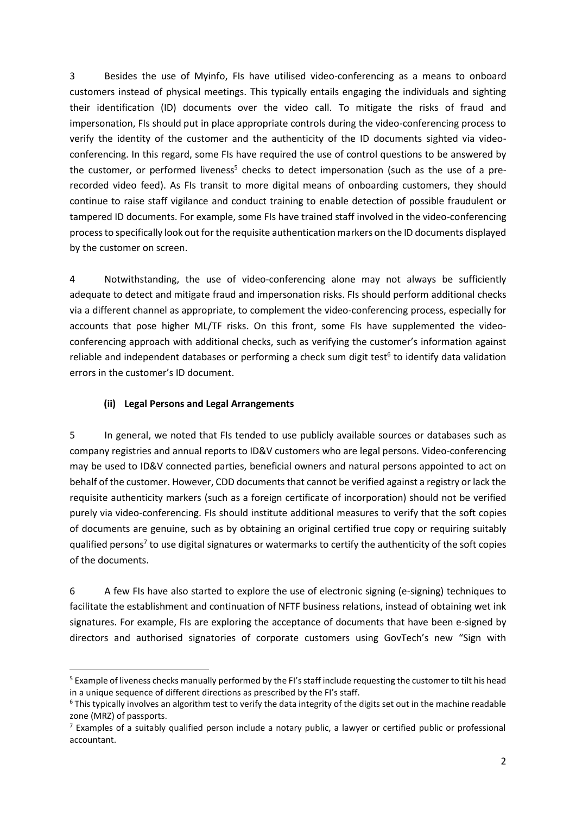3 Besides the use of Myinfo, FIs have utilised video-conferencing as a means to onboard customers instead of physical meetings. This typically entails engaging the individuals and sighting their identification (ID) documents over the video call. To mitigate the risks of fraud and impersonation, FIs should put in place appropriate controls during the video-conferencing process to verify the identity of the customer and the authenticity of the ID documents sighted via videoconferencing. In this regard, some FIs have required the use of control questions to be answered by the customer, or performed liveness<sup>5</sup> checks to detect impersonation (such as the use of a prerecorded video feed). As FIs transit to more digital means of onboarding customers, they should continue to raise staff vigilance and conduct training to enable detection of possible fraudulent or tampered ID documents. For example, some FIs have trained staff involved in the video-conferencing process to specifically look out for the requisite authentication markers on the ID documents displayed by the customer on screen.

4 Notwithstanding, the use of video-conferencing alone may not always be sufficiently adequate to detect and mitigate fraud and impersonation risks. FIs should perform additional checks via a different channel as appropriate, to complement the video-conferencing process, especially for accounts that pose higher ML/TF risks. On this front, some FIs have supplemented the videoconferencing approach with additional checks, such as verifying the customer's information against reliable and independent databases or performing a check sum digit test<sup>6</sup> to identify data validation errors in the customer's ID document.

## **(ii) Legal Persons and Legal Arrangements**

5 In general, we noted that FIs tended to use publicly available sources or databases such as company registries and annual reports to ID&V customers who are legal persons. Video-conferencing may be used to ID&V connected parties, beneficial owners and natural persons appointed to act on behalf of the customer. However, CDD documents that cannot be verified against a registry or lack the requisite authenticity markers (such as a foreign certificate of incorporation) should not be verified purely via video-conferencing. FIs should institute additional measures to verify that the soft copies of documents are genuine, such as by obtaining an original certified true copy or requiring suitably qualified persons<sup>7</sup> to use digital signatures or watermarks to certify the authenticity of the soft copies of the documents.

6 A few FIs have also started to explore the use of electronic signing (e-signing) techniques to facilitate the establishment and continuation of NFTF business relations, instead of obtaining wet ink signatures. For example, FIs are exploring the acceptance of documents that have been e-signed by directors and authorised signatories of corporate customers using GovTech's new "Sign with

<sup>&</sup>lt;sup>5</sup> Example of liveness checks manually performed by the FI's staff include requesting the customer to tilt his head in a unique sequence of different directions as prescribed by the FI's staff.

 $6$  This typically involves an algorithm test to verify the data integrity of the digits set out in the machine readable zone (MRZ) of passports.

 $<sup>7</sup>$  Examples of a suitably qualified person include a notary public, a lawyer or certified public or professional</sup> accountant.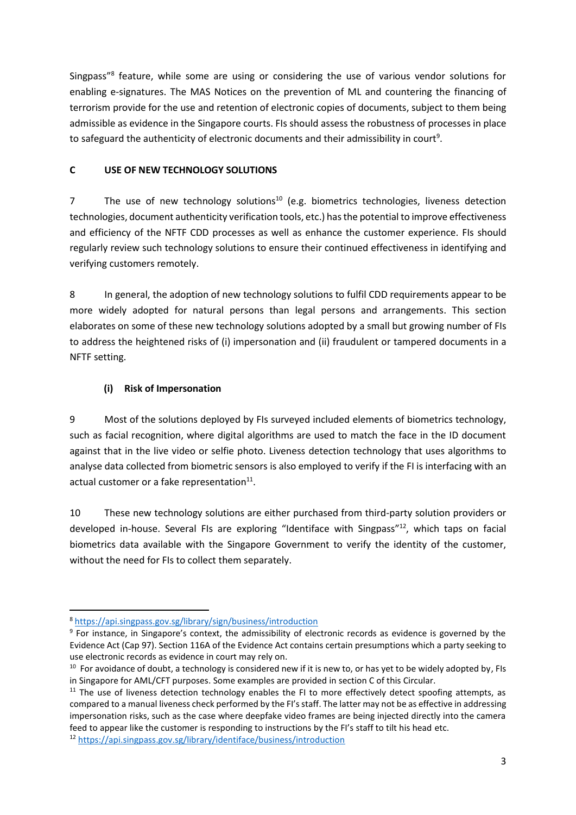Singpass"<sup>8</sup> feature, while some are using or considering the use of various vendor solutions for enabling e-signatures. The MAS Notices on the prevention of ML and countering the financing of terrorism provide for the use and retention of electronic copies of documents, subject to them being admissible as evidence in the Singapore courts. FIs should assess the robustness of processes in place to safeguard the authenticity of electronic documents and their admissibility in court<sup>9</sup>.

## **C USE OF NEW TECHNOLOGY SOLUTIONS**

7 The use of new technology solutions<sup>10</sup> (e.g. biometrics technologies, liveness detection technologies, document authenticity verification tools, etc.) has the potential to improve effectiveness and efficiency of the NFTF CDD processes as well as enhance the customer experience. FIs should regularly review such technology solutions to ensure their continued effectiveness in identifying and verifying customers remotely.

8 In general, the adoption of new technology solutions to fulfil CDD requirements appear to be more widely adopted for natural persons than legal persons and arrangements. This section elaborates on some of these new technology solutions adopted by a small but growing number of FIs to address the heightened risks of (i) impersonation and (ii) fraudulent or tampered documents in a NFTF setting.

# **(i) Risk of Impersonation**

9 Most of the solutions deployed by FIs surveyed included elements of biometrics technology, such as facial recognition, where digital algorithms are used to match the face in the ID document against that in the live video or selfie photo. Liveness detection technology that uses algorithms to analyse data collected from biometric sensors is also employed to verify if the FI is interfacing with an actual customer or a fake representation $^{11}$ .

10 These new technology solutions are either purchased from third-party solution providers or developed in-house. Several FIs are exploring "Identiface with Singpass"<sup>12</sup>, which taps on facial biometrics data available with the Singapore Government to verify the identity of the customer, without the need for FIs to collect them separately.

<sup>8</sup> <https://api.singpass.gov.sg/library/sign/business/introduction>

<sup>&</sup>lt;sup>9</sup> For instance, in Singapore's context, the admissibility of electronic records as evidence is governed by the Evidence Act (Cap 97). Section 116A of the Evidence Act contains certain presumptions which a party seeking to use electronic records as evidence in court may rely on.

 $10$  For avoidance of doubt, a technology is considered new if it is new to, or has yet to be widely adopted by, FIs in Singapore for AML/CFT purposes. Some examples are provided in section C of this Circular.

 $11$  The use of liveness detection technology enables the FI to more effectively detect spoofing attempts, as compared to a manual liveness check performed by the FI's staff. The latter may not be as effective in addressing impersonation risks, such as the case where deepfake video frames are being injected directly into the camera feed to appear like the customer is responding to instructions by the FI's staff to tilt his head etc.

<sup>12</sup> <https://api.singpass.gov.sg/library/identiface/business/introduction>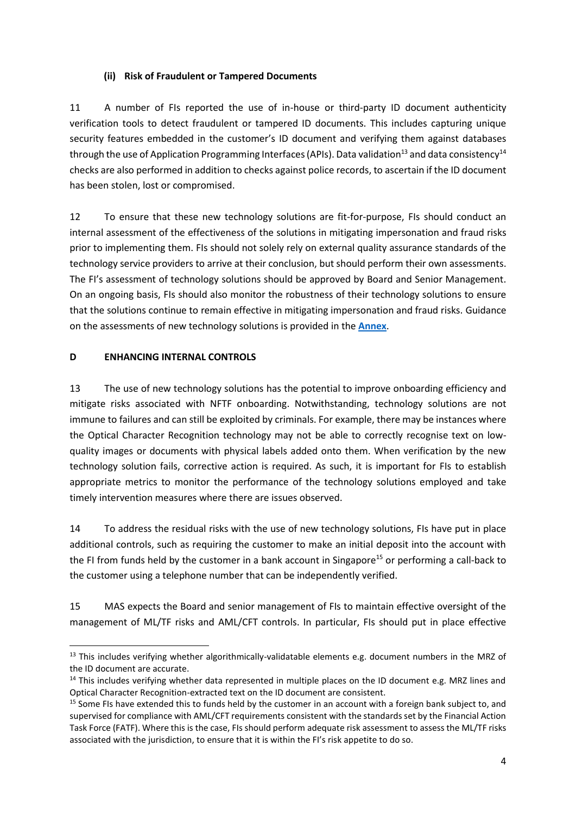### **(ii) Risk of Fraudulent or Tampered Documents**

11 A number of FIs reported the use of in-house or third-party ID document authenticity verification tools to detect fraudulent or tampered ID documents. This includes capturing unique security features embedded in the customer's ID document and verifying them against databases through the use of Application Programming Interfaces (APIs). Data validation<sup>13</sup> and data consistency<sup>14</sup> checks are also performed in addition to checks against police records, to ascertain if the ID document has been stolen, lost or compromised.

12 To ensure that these new technology solutions are fit-for-purpose, FIs should conduct an internal assessment of the effectiveness of the solutions in mitigating impersonation and fraud risks prior to implementing them. FIs should not solely rely on external quality assurance standards of the technology service providers to arrive at their conclusion, but should perform their own assessments. The FI's assessment of technology solutions should be approved by Board and Senior Management. On an ongoing basis, FIs should also monitor the robustness of their technology solutions to ensure that the solutions continue to remain effective in mitigating impersonation and fraud risks. Guidance on the assessments of new technology solutions is provided in the **[Annex](#page-5-0)**.

### **D ENHANCING INTERNAL CONTROLS**

13 The use of new technology solutions has the potential to improve onboarding efficiency and mitigate risks associated with NFTF onboarding. Notwithstanding, technology solutions are not immune to failures and can still be exploited by criminals. For example, there may be instances where the Optical Character Recognition technology may not be able to correctly recognise text on lowquality images or documents with physical labels added onto them. When verification by the new technology solution fails, corrective action is required. As such, it is important for FIs to establish appropriate metrics to monitor the performance of the technology solutions employed and take timely intervention measures where there are issues observed.

14 To address the residual risks with the use of new technology solutions, FIs have put in place additional controls, such as requiring the customer to make an initial deposit into the account with the FI from funds held by the customer in a bank account in Singapore<sup>15</sup> or performing a call-back to the customer using a telephone number that can be independently verified.

15 MAS expects the Board and senior management of FIs to maintain effective oversight of the management of ML/TF risks and AML/CFT controls. In particular, FIs should put in place effective

<sup>&</sup>lt;sup>13</sup> This includes verifying whether algorithmically-validatable elements e.g. document numbers in the MRZ of the ID document are accurate.

<sup>&</sup>lt;sup>14</sup> This includes verifying whether data represented in multiple places on the ID document e.g. MRZ lines and Optical Character Recognition-extracted text on the ID document are consistent.

<sup>&</sup>lt;sup>15</sup> Some FIs have extended this to funds held by the customer in an account with a foreign bank subject to, and supervised for compliance with AML/CFT requirements consistent with the standards set by the Financial Action Task Force (FATF). Where this is the case, FIs should perform adequate risk assessment to assess the ML/TF risks associated with the jurisdiction, to ensure that it is within the FI's risk appetite to do so.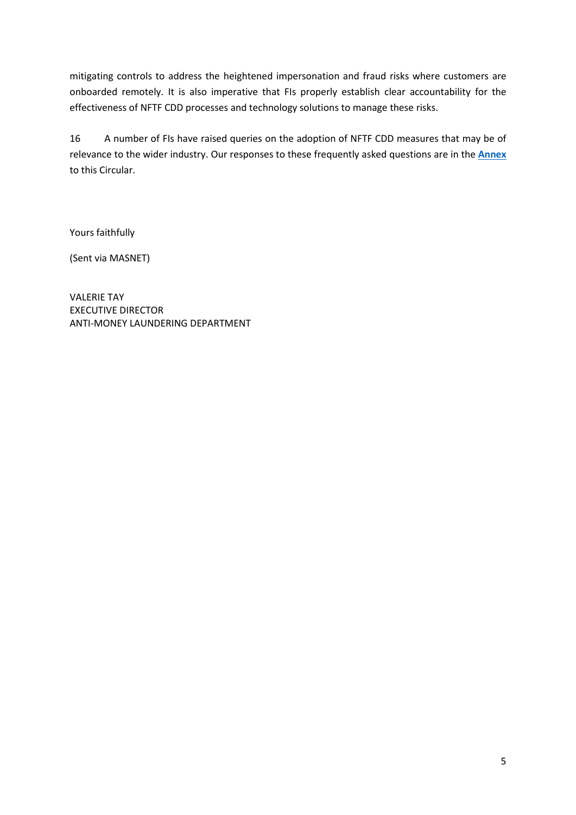mitigating controls to address the heightened impersonation and fraud risks where customers are onboarded remotely. It is also imperative that FIs properly establish clear accountability for the effectiveness of NFTF CDD processes and technology solutions to manage these risks.

16 A number of FIs have raised queries on the adoption of NFTF CDD measures that may be of relevance to the wider industry. Our responses to these frequently asked questions are in the **[Annex](#page-5-0)** to this Circular.

Yours faithfully

(Sent via MASNET)

VALERIE TAY EXECUTIVE DIRECTOR ANTI-MONEY LAUNDERING DEPARTMENT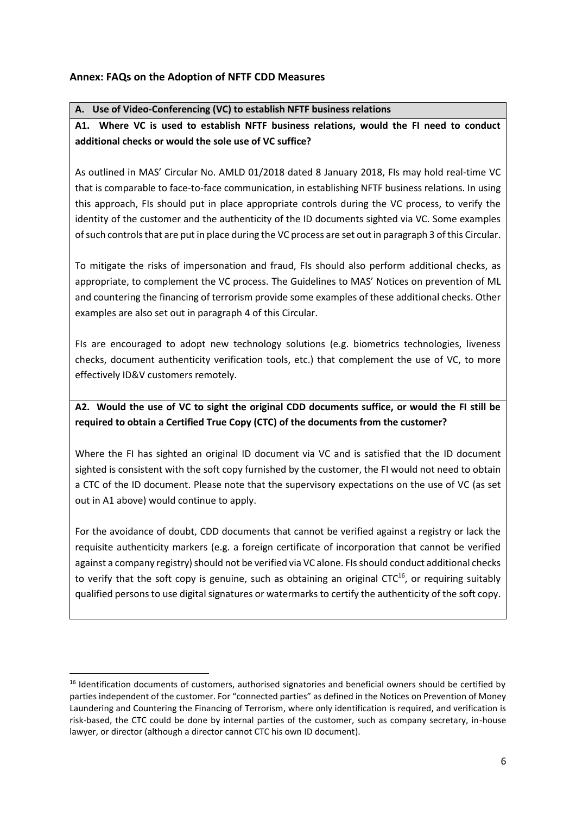## <span id="page-5-0"></span>**Annex: FAQs on the Adoption of NFTF CDD Measures**

### **A. Use of Video-Conferencing (VC) to establish NFTF business relations**

# **A1. Where VC is used to establish NFTF business relations, would the FI need to conduct additional checks or would the sole use of VC suffice?**

As outlined in MAS' Circular No. AMLD 01/2018 dated 8 January 2018, FIs may hold real-time VC that is comparable to face-to-face communication, in establishing NFTF business relations. In using this approach, FIs should put in place appropriate controls during the VC process, to verify the identity of the customer and the authenticity of the ID documents sighted via VC. Some examples of such controls that are put in place during the VC process are set out in paragraph 3 of this Circular.

To mitigate the risks of impersonation and fraud, FIs should also perform additional checks, as appropriate, to complement the VC process. The Guidelines to MAS' Notices on prevention of ML and countering the financing of terrorism provide some examples of these additional checks. Other examples are also set out in paragraph 4 of this Circular.

FIs are encouraged to adopt new technology solutions (e.g. biometrics technologies, liveness checks, document authenticity verification tools, etc.) that complement the use of VC, to more effectively ID&V customers remotely.

# **A2. Would the use of VC to sight the original CDD documents suffice, or would the FI still be required to obtain a Certified True Copy (CTC) of the documents from the customer?**

Where the FI has sighted an original ID document via VC and is satisfied that the ID document sighted is consistent with the soft copy furnished by the customer, the FI would not need to obtain a CTC of the ID document. Please note that the supervisory expectations on the use of VC (as set out in A1 above) would continue to apply.

For the avoidance of doubt, CDD documents that cannot be verified against a registry or lack the requisite authenticity markers (e.g. a foreign certificate of incorporation that cannot be verified against a company registry) should not be verified via VC alone. FIs should conduct additional checks to verify that the soft copy is genuine, such as obtaining an original CTC<sup>16</sup>, or requiring suitably qualified persons to use digital signatures or watermarks to certify the authenticity of the soft copy.

<sup>&</sup>lt;sup>16</sup> Identification documents of customers, authorised signatories and beneficial owners should be certified by parties independent of the customer. For "connected parties" as defined in the Notices on Prevention of Money Laundering and Countering the Financing of Terrorism, where only identification is required, and verification is risk-based, the CTC could be done by internal parties of the customer, such as company secretary, in-house lawyer, or director (although a director cannot CTC his own ID document).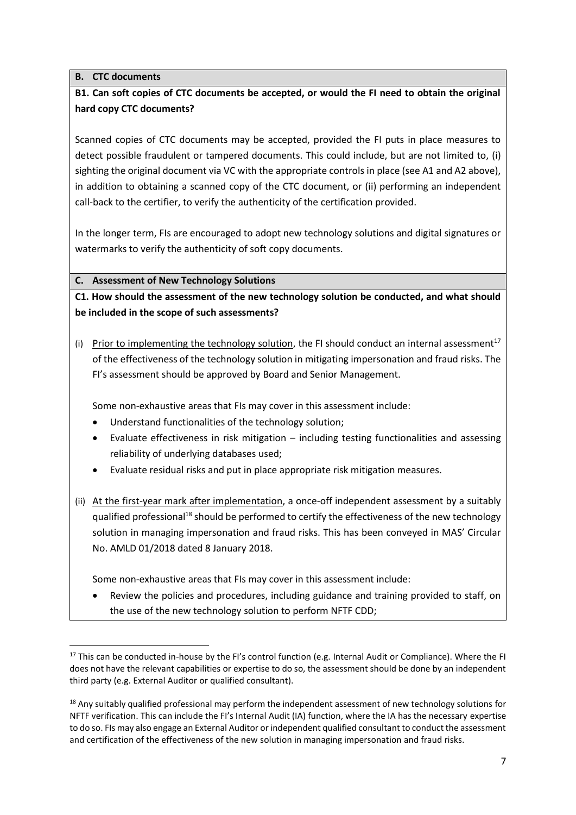### **B. CTC documents**

# **B1. Can soft copies of CTC documents be accepted, or would the FI need to obtain the original hard copy CTC documents?**

Scanned copies of CTC documents may be accepted, provided the FI puts in place measures to detect possible fraudulent or tampered documents. This could include, but are not limited to, (i) sighting the original document via VC with the appropriate controls in place (see A1 and A2 above), in addition to obtaining a scanned copy of the CTC document, or (ii) performing an independent call-back to the certifier, to verify the authenticity of the certification provided.

In the longer term, FIs are encouraged to adopt new technology solutions and digital signatures or watermarks to verify the authenticity of soft copy documents.

#### **C. Assessment of New Technology Solutions**

**C1. How should the assessment of the new technology solution be conducted, and what should be included in the scope of such assessments?**

(i) Prior to implementing the technology solution, the FI should conduct an internal assessment<sup>17</sup> of the effectiveness of the technology solution in mitigating impersonation and fraud risks. The FI's assessment should be approved by Board and Senior Management.

Some non-exhaustive areas that FIs may cover in this assessment include:

- Understand functionalities of the technology solution;
- Evaluate effectiveness in risk mitigation including testing functionalities and assessing reliability of underlying databases used;
- Evaluate residual risks and put in place appropriate risk mitigation measures.
- (ii) At the first-year mark after implementation, a once-off independent assessment by a suitably qualified professional<sup>18</sup> should be performed to certify the effectiveness of the new technology solution in managing impersonation and fraud risks. This has been conveyed in MAS' Circular No. AMLD 01/2018 dated 8 January 2018.

Some non-exhaustive areas that FIs may cover in this assessment include:

• Review the policies and procedures, including guidance and training provided to staff, on the use of the new technology solution to perform NFTF CDD;

<sup>&</sup>lt;sup>17</sup> This can be conducted in-house by the FI's control function (e.g. Internal Audit or Compliance). Where the FI does not have the relevant capabilities or expertise to do so, the assessment should be done by an independent third party (e.g. External Auditor or qualified consultant).

<sup>&</sup>lt;sup>18</sup> Any suitably qualified professional may perform the independent assessment of new technology solutions for NFTF verification. This can include the FI's Internal Audit (IA) function, where the IA has the necessary expertise to do so. FIs may also engage an External Auditor or independent qualified consultant to conduct the assessment and certification of the effectiveness of the new solution in managing impersonation and fraud risks.